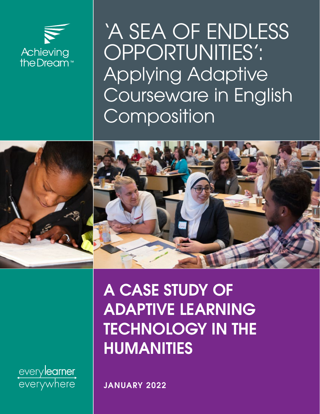

'A SEA OF ENDLESS OPPORTUNITIES': Applying Adaptive Courseware in English **Composition** 



# A CASE STUDY OF ADAPTIVE LEARNING **TECHNOLOGY IN THE** HUMANITIES



JANUARY 2022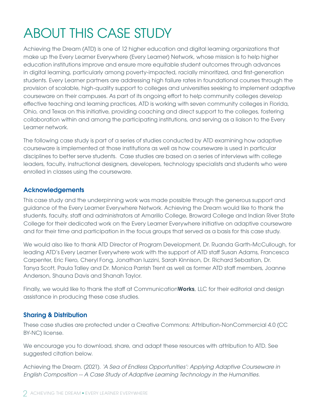## ABOUT THIS CASE STUDY

Achieving the Dream (ATD) is one of 12 higher education and digital learning organizations that make up the Every Learner Everywhere (Every Learner) Network, whose mission is to help higher education institutions improve and ensure more equitable student outcomes through advances in digital learning, particularly among poverty-impacted, racially minoritized, and first-generation students. Every Learner partners are addressing high failure rates in foundational courses through the provision of scalable, high-quality support to colleges and universities seeking to implement adaptive courseware on their campuses. As part of its ongoing effort to help community colleges develop effective teaching and learning practices, ATD is working with seven community colleges in Florida, Ohio, and Texas on this initiative, providing coaching and direct support to the colleges, fostering collaboration within and among the participating institutions, and serving as a liaison to the Every Learner network.

The following case study is part of a series of studies conducted by ATD examining how adaptive courseware is implemented at those institutions as well as how courseware is used in particular disciplines to better serve students. Case studies are based on a series of interviews with college leaders, faculty, instructional designers, developers, technology specialists and students who were enrolled in classes using the courseware.

#### Acknowledgements

This case study and the underpinning work was made possible through the generous support and guidance of the Every Learner Everywhere Network. Achieving the Dream would like to thank the students, faculty, staff and administrators at Amarillo College, Broward College and Indian River State College for their dedicated work on the Every Learner Everywhere initiative on adaptive courseware and for their time and participation in the focus groups that served as a basis for this case study.

We would also like to thank ATD Director of Program Development, Dr. Ruanda Garth-McCullough, for leading ATD's Every Learner Everywhere work with the support of ATD staff Susan Adams, Francesca Carpenter, Eric Fiero, Cheryl Fong, Jonathan Iuzzini, Sarah Kinnison, Dr. Richard Sebastian, Dr. Tanya Scott, Paula Talley and Dr. Monica Parrish Trent as well as former ATD staff members, Joanne Anderson, Shauna Davis and Shanah Taylor.

Finally, we would like to thank the staff at Communication**Works**, LLC for their editorial and design assistance in producing these case studies.

### Sharing & Distribution

These case studies are protected under a Creative Commons: Attribution-NonCommercial 4.0 (CC BY-NC) license.

We encourage you to download, share, and adapt these resources with attribution to ATD. See suggested citation below.

Achieving the Dream. (2021). *'A Sea of Endless Opportunities': Applying Adaptive Courseware in English Composition -- A Case Study of Adaptive Learning Technology in the Humanities.*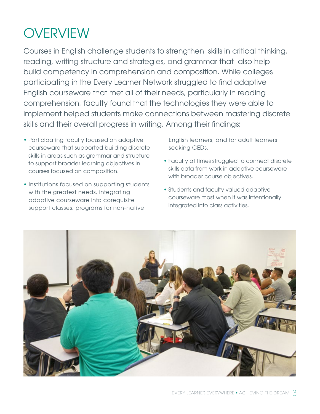## **OVERVIEW**

Courses in English challenge students to strengthen skills in critical thinking, reading, writing structure and strategies, and grammar that also help build competency in comprehension and composition. While colleges participating in the Every Learner Network struggled to find adaptive English courseware that met all of their needs, particularly in reading comprehension, faculty found that the technologies they were able to implement helped students make connections between mastering discrete skills and their overall progress in writing. Among their findings:

- Participating faculty focused on adaptive courseware that supported building discrete skills in areas such as grammar and structure to support broader learning objectives in courses focused on composition.
- Institutions focused on supporting students with the greatest needs, integrating adaptive courseware into corequisite support classes, programs for non-native

English learners, and for adult learners seeking GEDs.

- Faculty at times struggled to connect discrete skills data from work in adaptive courseware with broader course objectives.
- Students and faculty valued adaptive courseware most when it was intentionally integrated into class activities.

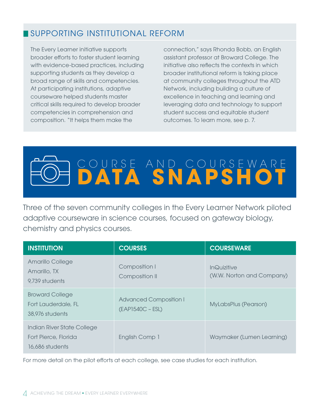### SUPPORTING INSTITUTIONAL REFORM

The Every Learner initiative supports broader efforts to foster student learning with evidence-based practices, including supporting students as they develop a broad range of skills and competencies. At participating institutions, adaptive courseware helped students master critical skills required to develop broader competencies in comprehension and composition. "It helps them make the

connection," says Rhonda Bobb, an English assistant professor at Broward College. The initiative also reflects the contexts in which broader institutional reform is taking place at community colleges throughout the ATD Network, including building a culture of excellence in teaching and learning and leveraging data and technology to support student success and equitable student outcomes. To learn more, see p. 7.

# C O U R S E A N D C O U R S E W A R E **DATA SNAPSHOT**

Three of the seven community colleges in the Every Learner Network piloted adaptive courseware in science courses, focused on gateway biology, chemistry and physics courses.

| <b>INSTITUTION</b>                                                    | <b>COURSES</b>                                      | <b>COURSEWARE</b>                               |
|-----------------------------------------------------------------------|-----------------------------------------------------|-------------------------------------------------|
| Amarillo College<br>Amarillo, TX<br>9.739 students                    | Composition I<br>Composition II                     | <b>InQuizitive</b><br>(W.W. Norton and Company) |
| <b>Broward College</b><br>Fort Lauderdale, FL<br>38,976 students      | <b>Advanced Composition I</b><br>$(EAPI540C - ESL)$ | MyLabsPlus (Pearson)                            |
| Indian River State College<br>Fort Pierce, Florida<br>16,686 students | English Comp 1                                      | Waymaker (Lumen Learning)                       |

For more detail on the pilot efforts at each college, see case studies for each institution.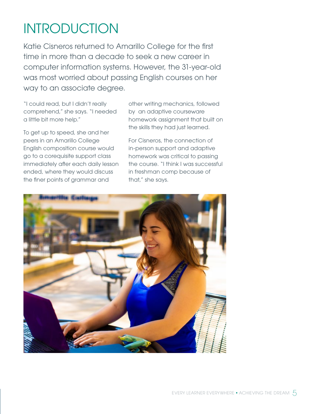## INTRODUCTION

Katie Cisneros returned to Amarillo College for the first time in more than a decade to seek a new career in computer information systems. However, the 31-year-old was most worried about passing English courses on her way to an associate degree.

"I could read, but I didn't really comprehend," she says. "I needed a little bit more help."

To get up to speed, she and her peers in an Amarillo College English composition course would go to a corequisite support class immediately after each daily lesson ended, where they would discuss the finer points of grammar and

other writing mechanics, followed by an adaptive courseware homework assignment that built on the skills they had just learned.

For Cisneros, the connection of in-person support and adaptive homework was critical to passing the course. "I think I was successful in freshman comp because of that," she says.

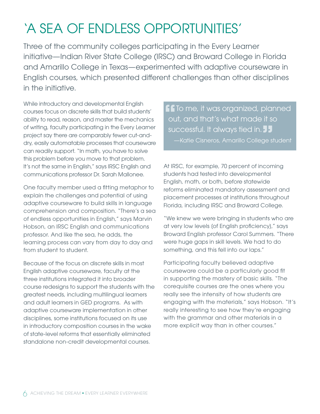## 'A SEA OF ENDLESS OPPORTUNITIES'

Three of the community colleges participating in the Every Learner initiative—Indian River State College (IRSC) and Broward College in Florida and Amarillo College in Texas—experimented with adaptive courseware in English courses, which presented different challenges than other disciplines in the initiative.

While introductory and developmental English courses focus on discrete skills that build students' ability to read, reason, and master the mechanics of writing, faculty participating in the Every Learner project say there are comparably fewer cut-anddry, easily automatable processes that courseware can readily support. "In math, you have to solve this problem before you move to that problem. It's not the same in English," says IRSC English and communications professor Dr. Sarah Mallonee.

One faculty member used a fitting metaphor to explain the challenges and potential of using adaptive courseware to build skills in language comprehension and composition. "There's a sea of endless opportunities in English," says Marvin Hobson, an IRSC English and communications professor. And like the sea, he adds, the learning process can vary from day to day and from student to student.

Because of the focus on discrete skills in most English adaptive courseware, faculty at the three institutions integrated it into broader course redesigns to support the students with the greatest needs, including multilingual learners and adult learners in GED programs. As with adaptive courseware implementation in other disciplines, some institutions focused on its use in introductory composition courses in the wake of state-level reforms that essentially eliminated standalone non-credit developmental courses.

— Katie Cisneros, Amarillo College student **f f** To me, it was organized, planned out, and that's what made it so successful. It always tied in. **JJ** 

At IRSC, for example, 70 percent of incoming students had tested into developmental English, math, or both, before statewide reforms eliminated mandatory assessment and placement processes at institutions throughout Florida, including IRSC and Broward College.

"We knew we were bringing in students who are at very low levels [of English proficiency]," says Broward English professor Carol Summers. "There were huge gaps in skill levels. We had to do something, and this fell into our laps."

Participating faculty believed adaptive courseware could be a particularly good fit in supporting the mastery of basic skills. "The corequisite courses are the ones where you really see the intensity of how students are engaging with the materials," says Hobson. "It's really interesting to see how they're engaging with the grammar and other materials in a more explicit way than in other courses."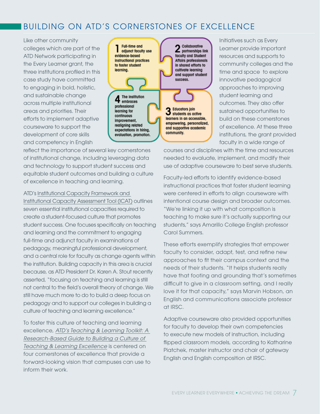### BUILDING ON ATD'S CORNERSTONES OF EXCELLENCE

Like other community colleges which are part of the ATD Network participating in the Every Learner grant, the three institutions profiled in this case study have committed to engaging in bold, holistic, and sustainable change across multiple institutional areas and priorities. Their efforts to implement adaptive courseware to support the development of core skills and competency in English



Initiatives such as Every Learner provide important resources and supports to community colleges and the time and space to explore innovative pedagogical approaches to improving student learning and outcomes. They also offer sustained opportunities to build on these cornerstones of excellence. At these three institutions, the grant provided faculty in a wide range of

reflect the importance of several key cornerstones of institutional change, including leveraging data and technology to support student success and equitable student outcomes and building a culture of excellence in teaching and learning.

ATD's Institutional Capacity Framework and [Institutional Capacity Assessment Tool \(ICAT\)](https://www.achievingthedream.org/network/our-approach) outlines seven essential institutional capacities required to create a student-focused culture that promotes student success. One focuses specifically on teaching and learning and the commitment to engaging full-time and adjunct faculty in examinations of pedagogy, meaningful professional development, and a central role for faculty as change agents within the institution. Building capacity in this area is crucial because, as ATD President Dr. Karen A. Stout recently asserted, "focusing on teaching and learning is still not central to the field's overall theory of change. We still have much more to do to build a deep focus on pedagogy and to support our colleges in building a culture of teaching and learning excellence."

To foster this culture of teaching and learning excellence, *ATD's Teaching & Learning Toolkit: A [Research-Based Guide to Building a Culture of](https://www.achievingthedream.org/resource/18241/teaching-learning-toolkit-a-research-based-guide-to-building-a-culture-of-teaching-learning-excellence)  Teaching & Learning Excellence* is centered on four cornerstones of excellence that provide a forward-looking vision that campuses can use to inform their work.

Faculty-led efforts to identify evidence-based instructional practices that foster student learning were centered in efforts to align courseware with intentional course design and broader outcomes. "We're linking it up with what composition is teaching to make sure it's actually supporting our students," says Amarillo College English professor Carol Summers.

courses and disciplines with the time and resources needed to evaluate, implement, and modify their use of adaptive courseware to best serve students.

These efforts exemplify strategies that empower faculty to consider, adapt, test, and refine new approaches to fit their campus context and the needs of their students. "It helps students really have that footing and grounding that's sometimes difficult to give in a classroom setting, and I really love it for that capacity," says Marvin Hobson, an English and communications associate professor at IRSC.

Adaptive courseware also provided opportunities for faculty to develop their own competencies to execute new models of instruction, including flipped classroom models, according to Katharine Piatchek, master instructor and chair of gateway English and English composition at IRSC.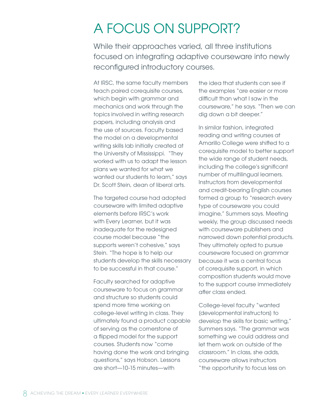## A FOCUS ON SUPPORT?

While their approaches varied, all three institutions focused on integrating adaptive courseware into newly reconfigured introductory courses.

At IRSC, the same faculty members teach paired corequisite courses, which begin with grammar and mechanics and work through the topics involved in writing research papers, including analysis and the use of sources. Faculty based the model on a developmental writing skills lab initially created at the University of Mississippi. "They worked with us to adapt the lesson plans we wanted for what we wanted our students to learn," says Dr. Scott Stein, dean of liberal arts.

The targeted course had adopted courseware with limited adaptive elements before IRSC's work with Every Learner, but it was inadequate for the redesigned course model because "the supports weren't cohesive," says Stein. "The hope is to help our students develop the skills necessary to be successful in that course."

Faculty searched for adaptive courseware to focus on grammar and structure so students could spend more time working on college-level writing in class. They ultimately found a product capable of serving as the cornerstone of a flipped model for the support courses. Students now "come having done the work and bringing questions," says Hobson. Lessons are short—10-15 minutes—with

the idea that students can see if the examples "are easier or more difficult than what I saw in the courseware," he says. "Then we can dig down a bit deeper."

In similar fashion, integrated reading and writing courses at Amarillo College were shifted to a corequisite model to better support the wide range of student needs, including the college's significant number of multilingual learners. Instructors from developmental and credit-bearing English courses formed a group to "research every type of courseware you could imagine," Summers says. Meeting weekly, the group discussed needs with courseware publishers and narrowed down potential products. They ultimately opted to pursue courseware focused on grammar because it was a central focus of corequisite support, in which composition students would move to the support course immediately after class ended.

College-level faculty "wanted [developmental instructors] to develop the skills for basic writing," Summers says. "The grammar was something we could address and let them work on outside of the classroom." In class, she adds, courseware allows instructors "the opportunity to focus less on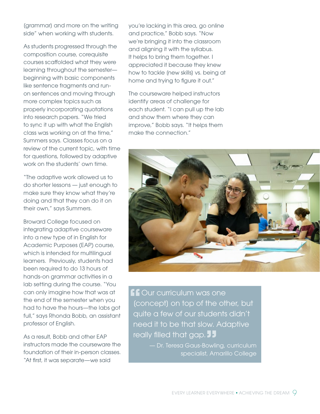[grammar] and more on the writing side" when working with students.

As students progressed through the composition course, corequisite courses scaffolded what they were learning throughout the semester beginning with basic components like sentence fragments and runon sentences and moving through more complex topics such as properly incorporating quotations into research papers. "We tried to sync it up with what the English class was working on at the time," Summers says. Classes focus on a review of the current topic, with time for questions, followed by adaptive work on the students' own time.

"The adaptive work allowed us to do shorter lessons — just enough to make sure they know what they're doing and that they can do it on their own," says Summers.

Broward College focused on integrating adaptive courseware into a new type of in English for Academic Purposes (EAP) course, which is intended for multilingual learners. Previously, students had been required to do 13 hours of hands-on grammar activities in a lab setting during the course. "You can only imagine how that was at the end of the semester when you had to have the hours—the labs got full," says Rhonda Bobb, an assistant professor of English.

As a result, Bobb and other EAP instructors made the courseware the foundation of their in-person classes. "At first, it was separate—we said

you're lacking in this area, go online and practice," Bobb says. "Now we're bringing it into the classroom and aligning it with the syllabus. It helps to bring them together. I appreciated it because they knew how to tackle [new skills] vs. being at home and trying to figure it out."

The courseware helped instructors identify areas of challenge for each student. "I can pull up the lab and show them where they can improve," Bobb says. "It helps them make the connection."



**f** Our curriculum was one [concept] on top of the other, but quite a few of our students didn't need it to be that slow. Adaptive really filled that gap. **JJ** 

> — Dr. Teresa Gaus-Bowling, curriculum specialist, Amarillo College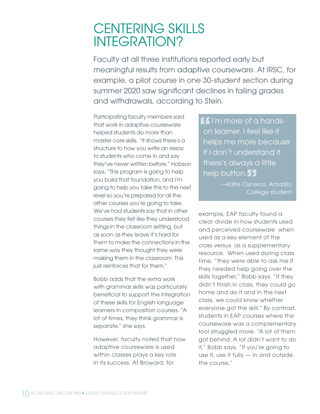### CENTERING SKILLS INTEGRATION?

Faculty at all three institutions reported early but meaningful results from adaptive courseware. At IRSC, for example, a pilot course in one 30-student section during summer 2020 saw significant declines in failing grades and withdrawals, according to Stein.

Participating faculty members said that work in adaptive courseware helped students do more than master core skills. "It shows there's a structure to how you write an essay to students who come in and say they've never written before," Hobson says. "This program is going to help you build that foundation, and I'm going to help you take this to the next level so you're prepared for all the other courses you're going to take. We've had students say that in other courses they felt like they understood things in the classroom setting, but as soon as they leave it's hard for them to make the connections in the same way they thought they were making them in the classroom. This just reinforces that for them."

Bobb adds that the extra work with grammar skills was particularly beneficial to support the integration of these skills for English language learners in composition courses. "A lot of times, they think grammar is separate," she says.

However, faculty noted that how adaptive courseware is used within classes plays a key role in its success. At Broward, for

**If** I'm more of a handson learner. I feel like it helps me more because if I don't understand it there's always a little help button.<sup>1</sup>

> — Katie Cisneros, Amarillo College student

example, EAP faculty found a clear divide in how students used and perceived courseware when used as a key element of the class versus as a supplementary resource. When used during class time, "they were able to ask me if they needed help going over the skills together," Bobb says. "If they didn't finish in class, they could go home and do it and in the next class, we could know whether everyone got the skill." By contrast, students in EAP courses where the courseware was a complementary tool struggled more. "A lot of them got behind. A lot didn't want to do it," Bobb says. "If you're going to use it, use it fully — in and outside the course."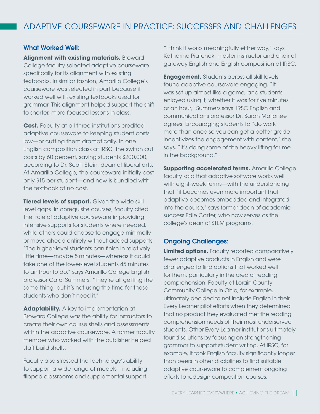### What Worked Well:

**Alignment with existing materials.** Broward College faculty selected adaptive courseware specifically for its alignment with existing textbooks. In similar fashion, Amarillo College's courseware was selected in part because it worked well with existing textbooks used for grammar. This alignment helped support the shift to shorter, more focused lessons in class.

**Cost.** Faculty at all three institutions credited adaptive courseware to keeping student costs low—or cutting them dramatically. In one English composition class at IRSC, the switch cut costs by 60 percent, saving students \$200,000, according to Dr. Scott Stein, dean of liberal arts. At Amarillo College, the courseware initially cost only \$15 per student—and now is bundled with the textbook at no cost.

**Tiered levels of support.** Given the wide skill level gaps in corequisite courses, faculty cited the role of adaptive courseware in providing intensive supports for students where needed, while others could choose to engage minimally or move ahead entirely without added supports. "The higher-level students can finish in relatively little time—maybe 5 minutes—whereas it could take one of the lower-level students 45 minutes to an hour to do," says Amarillo College English professor Carol Summers. "They're all getting the same thing, but it's not using the time for those students who don't need it."

**Adaptability.** A key to implementation at Broward College was the ability for instructors to create their own course shells and assessments within the adaptive courseware. A former faculty member who worked with the publisher helped staff build shells.

Faculty also stressed the technology's ability to support a wide range of models—including flipped classrooms and supplemental support.

"I think it works meaningfully either way," says Katharine Piatchek, master instructor and chair of gateway English and English composition at IRSC.

**Engagement.** Students across all skill levels found adaptive courseware engaging. "It was set up almost like a game, and students enjoyed using it, whether it was for five minutes or an hour," Summers says. IRSC English and communications professor Dr. Sarah Mallonee agrees. Encouraging students to "do work more than once so you can get a better grade incentivizes the engagement with content," she says. "It's doing some of the heavy lifting for me in the background."

**Supporting accelerated terms.** Amarillo College faculty said that adaptive software works well with eight-week terms—with the understanding that "it becomes even more important that adaptive becomes embedded and integrated into the course," says former dean of academic success Edie Carter, who now serves as the college's dean of STEM programs.

#### Ongoing Challenges:

**Limited options.** Faculty reported comparatively fewer adaptive products in English and were challenged to find options that worked well for them, particularly in the area of reading comprehension. Faculty at Lorain County Community College in Ohio, for example, ultimately decided to not include English in their Every Learner pilot efforts when they determined that no product they evaluated met the reading comprehension needs of their most underserved students. Other Every Learner institutions ultimately found solutions by focusing on strengthening grammar to support student writing. At IRSC, for example, it took English faculty significantly longer than peers in other disciplines to find suitable adaptive courseware to complement ongoing efforts to redesign composition courses.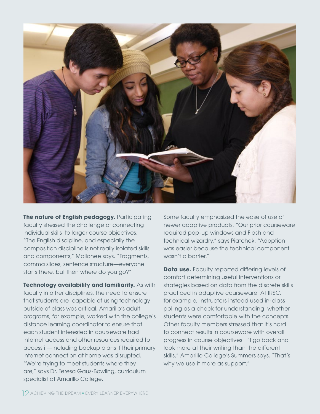

**The nature of English pedagogy.** Participating faculty stressed the challenge of connecting individual skills to larger course objectives. "The English discipline, and especially the composition discipline is not really isolated skills and components," Mallonee says. "Fragments, comma slices, sentence structure—everyone starts there, but then where do you go?"

**Technology availability and familiarity.** As with faculty in other disciplines, the need to ensure that students are capable of using technology outside of class was critical. Amarillo's adult programs, for example, worked with the college's distance learning coordinator to ensure that each student interested in courseware had internet access and other resources required to access it—including backup plans if their primary internet connection at home was disrupted. "We're trying to meet students where they are," says Dr. Teresa Gaus-Bowling, curriculum specialist at Amarillo College.

Some faculty emphasized the ease of use of newer adaptive products. "Our prior courseware required pop-up windows and Flash and technical wizardry," says Piatchek. "Adoption was easier because the technical component wasn't a barrier."

**Data use.** Faculty reported differing levels of comfort determining useful interventions or strategies based on data from the discrete skills practiced in adaptive courseware. At IRSC, for example, instructors instead used in-class polling as a check for understanding whether students were comfortable with the concepts. Other faculty members stressed that it's hard to connect results in courseware with overall progress in course objectives. "I go back and look more at their writing than the different skills," Amarillo College's Summers says. "That's why we use it more as support."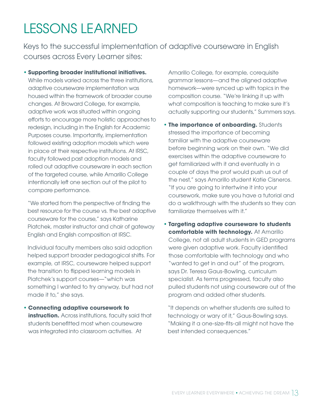## LESSONS LEARNED

Keys to the successful implementation of adaptive courseware in English courses across Every Learner sites:

• **Supporting broader institutional initiatives.**  While models varied across the three institutions. adaptive courseware implementation was housed within the framework of broader course changes. At Broward College, for example, adaptive work was situated within ongoing efforts to encourage more holistic approaches to redesign, including in the English for Academic Purposes course. Importantly, implementation followed existing adoption models which were in place at their respective institutions. At IRSC, faculty followed past adoption models and rolled out adaptive courseware in each section of the targeted course, while Amarillo College intentionally left one section out of the pilot to compare performance.

"We started from the perspective of finding the best resource for the course vs. the best adaptive courseware for the course," says Katharine Piatchek, master instructor and chair of gateway English and English composition at IRSC.

Individual faculty members also said adoption helped support broader pedagogical shifts. For example, at IRSC, courseware helped support the transition to flipped learning models in Piatchek's support courses—"which was something I wanted to try anyway, but had not made it to," she says.

• **Connecting adaptive coursework to instruction.** Across institutions, faculty said that students benefitted most when courseware was integrated into classroom activities. At

Amarillo College, for example, corequisite grammar lessons—and the aligned adaptive homework—were synced up with topics in the composition course. "We're linking it up with what composition is teaching to make sure it's actually supporting our students," Summers says.

- **The importance of onboarding.** Students stressed the importance of becoming familiar with the adaptive courseware before beginning work on their own. "We did exercises within the adaptive courseware to get familiarized with it and eventually in a couple of days the prof would push us out of the nest," says Amarillo student Katie Cisneros. "If you are going to intertwine it into your coursework, make sure you have a tutorial and do a walkthrough with the students so they can familiarize themselves with it."
- **Targeting adaptive courseware to students comfortable with technology.** At Amarillo College, not all adult students in GED programs were given adaptive work. Faculty identified those comfortable with technology and who "wanted to get in and out" of the program, says Dr. Teresa Gaus-Bowling, curriculum specialist. As terms progressed, faculty also pulled students not using courseware out of the program and added other students.

"It depends on whether students are suited to technology or wary of it," Gaus-Bowling says. "Making it a one-size-fits-all might not have the best intended consequences."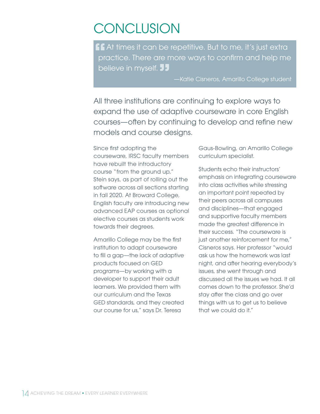## **CONCLUSION**

**ff** At times it can be repetitive. But to me, it's just extra practice. There are more ways to confirm and help me believe in myself. **JJ** 

— Katie Cisneros, Amarillo College student

All three institutions are continuing to explore ways to expand the use of adaptive courseware in core English courses—often by continuing to develop and refine new models and course designs.

Since first adopting the courseware, IRSC faculty members have rebuilt the introductory course "from the ground up," Stein says, as part of rolling out the software across all sections starting in fall 2020. At Broward College, English faculty are introducing new advanced EAP courses as optional elective courses as students work towards their degrees.

Amarillo College may be the first institution to adapt courseware to fill a gap—the lack of adaptive products focused on GED programs—by working with a developer to support their adult learners. We provided them with our curriculum and the Texas GED standards, and they created our course for us," says Dr. Teresa

Gaus-Bowling, an Amarillo College curriculum specialist.

Students echo their instructors' emphasis on integrating courseware into class activities while stressing an important point repeated by their peers across all campuses and disciplines—that engaged and supportive faculty members made the greatest difference in their success. "The courseware is just another reinforcement for me," Cisneros says. Her professor "would ask us how the homework was last night, and after hearing everybody's issues, she went through and discussed all the issues we had. It all comes down to the professor. She'd stay after the class and go over things with us to get us to believe that we could do it."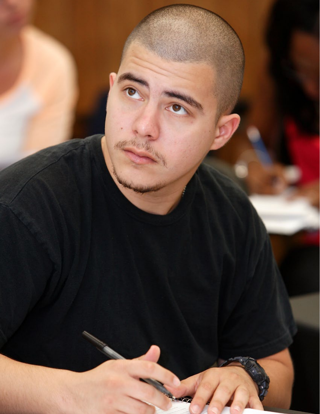